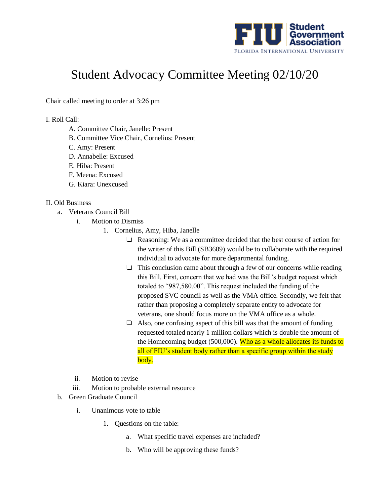

## Student Advocacy Committee Meeting 02/10/20

Chair called meeting to order at 3:26 pm

I. Roll Call:

- A. Committee Chair, Janelle: Present
- B. Committee Vice Chair, Cornelius: Present
- C. Amy: Present
- D. Annabelle: Excused
- E. Hiba: Present
- F. Meena: Excused
- G. Kiara: Unexcused

## II. Old Business

- a. Veterans Council Bill
	- i. Motion to Dismiss
		- 1. Cornelius, Amy, Hiba, Janelle
			- ❏ Reasoning: We as a committee decided that the best course of action for the writer of this Bill (SB3609) would be to collaborate with the required individual to advocate for more departmental funding.
			- ❏ This conclusion came about through a few of our concerns while reading this Bill. First, concern that we had was the Bill's budget request which totaled to "987,580.00". This request included the funding of the proposed SVC council as well as the VMA office. Secondly, we felt that rather than proposing a completely separate entity to advocate for veterans, one should focus more on the VMA office as a whole.
			- ❏ Also, one confusing aspect of this bill was that the amount of funding requested totaled nearly 1 million dollars which is double the amount of the Homecoming budget (500,000). Who as a whole allocates its funds to all of FIU's student body rather than a specific group within the study body.
	- ii. Motion to revise
	- iii. Motion to probable external resource
- b. Green Graduate Council
	- i. Unanimous vote to table
		- 1. Questions on the table:
			- a. What specific travel expenses are included?
			- b. Who will be approving these funds?